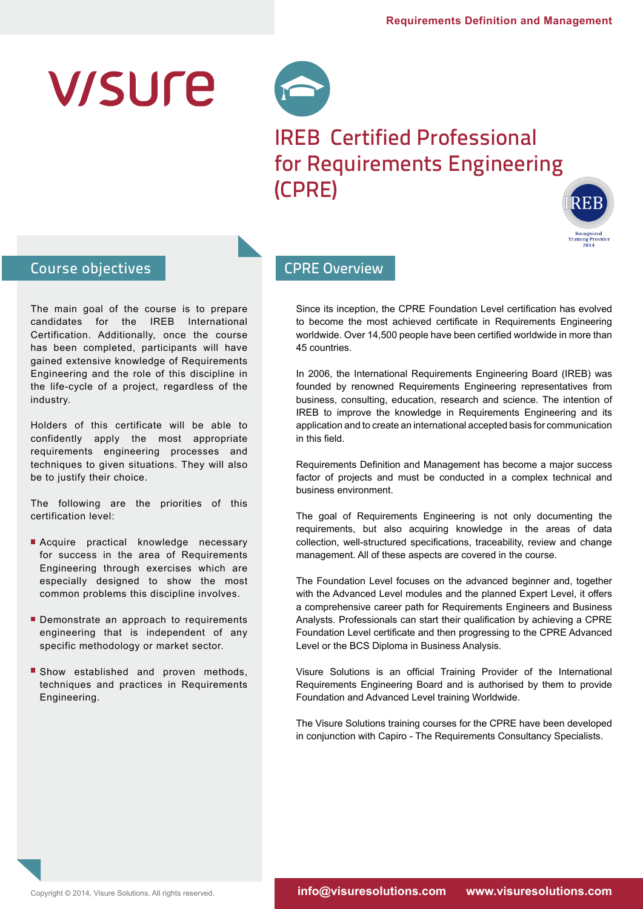# **V/SUre**



# IREB Certified Professional for Requirements Engineering (CPRE)



# Course objectives

The main goal of the course is to prepare candidates for the IREB International Certification. Additionally, once the course has been completed, participants will have gained extensive knowledge of Requirements Engineering and the role of this discipline in the life-cycle of a project, regardless of the industry.

Holders of this certificate will be able to confidently apply the most appropriate requirements engineering processes and techniques to given situations. They will also be to justify their choice.

The following are the priorities of this certification level:

- Acquire practical knowledge necessary for success in the area of Requirements Engineering through exercises which are especially designed to show the most common problems this discipline involves.
- Demonstrate an approach to requirements engineering that is independent of any specific methodology or market sector.
- Show established and proven methods, techniques and practices in Requirements Engineering.

# CPRE Overview

Since its inception, the CPRE Foundation Level certification has evolved to become the most achieved certificate in Requirements Engineering worldwide. Over 14,500 people have been certified worldwide in more than 45 countries.

In 2006, the International Requirements Engineering Board (IREB) was founded by renowned Requirements Engineering representatives from business, consulting, education, research and science. The intention of IREB to improve the knowledge in Requirements Engineering and its application and to create an international accepted basis for communication in this field.

Requirements Definition and Management has become a major success factor of projects and must be conducted in a complex technical and business environment.

The goal of Requirements Engineering is not only documenting the requirements, but also acquiring knowledge in the areas of data collection, well-structured specifications, traceability, review and change management. All of these aspects are covered in the course.

The Foundation Level focuses on the advanced beginner and, together with the Advanced Level modules and the planned Expert Level, it offers a comprehensive career path for Requirements Engineers and Business Analysts. Professionals can start their qualification by achieving a CPRE Foundation Level certificate and then progressing to the CPRE Advanced Level or the BCS Diploma in Business Analysis.

Visure Solutions is an official Training Provider of the International Requirements Engineering Board and is authorised by them to provide Foundation and Advanced Level training Worldwide.

The Visure Solutions training courses for the CPRE have been developed in conjunction with Capiro - The Requirements Consultancy Specialists.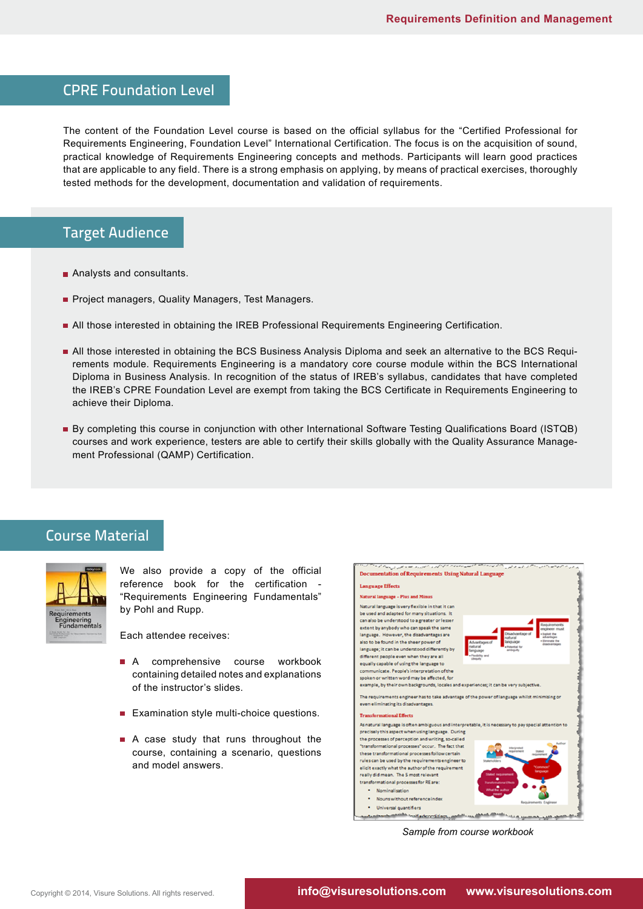#### CPRE Foundation Level

The content of the Foundation Level course is based on the official syllabus for the "Certified Professional for Requirements Engineering, Foundation Level" International Certification. The focus is on the acquisition of sound, practical knowledge of Requirements Engineering concepts and methods. Participants will learn good practices that are applicable to any field. There is a strong emphasis on applying, by means of practical exercises, thoroughly tested methods for the development, documentation and validation of requirements.

# Target Audience

- Analysts and consultants.
- **Project managers, Quality Managers, Test Managers.**
- All those interested in obtaining the IREB Professional Requirements Engineering Certification.
- All those interested in obtaining the BCS Business Analysis Diploma and seek an alternative to the BCS Requirements module. Requirements Engineering is a mandatory core course module within the BCS International Diploma in Business Analysis. In recognition of the status of IREB's syllabus, candidates that have completed the IREB's CPRE Foundation Level are exempt from taking the BCS Certificate in Requirements Engineering to achieve their Diploma.
- By completing this course in conjunction with other International Software Testing Qualifications Board (ISTQB) courses and work experience, testers are able to certify their skills globally with the Quality Assurance Management Professional (QAMP) Certification.

#### Course Material



We also provide a copy of the official reference book for the certification - "Requirements Engineering Fundamentals" by Pohl and Rupp.

Each attendee receives:

- A comprehensive course workbook containing detailed notes and explanations of the instructor's slides.
- Examination style multi-choice questions.
- A case study that runs throughout the course, containing a scenario, questions and model answers.



*Sample from course workbook*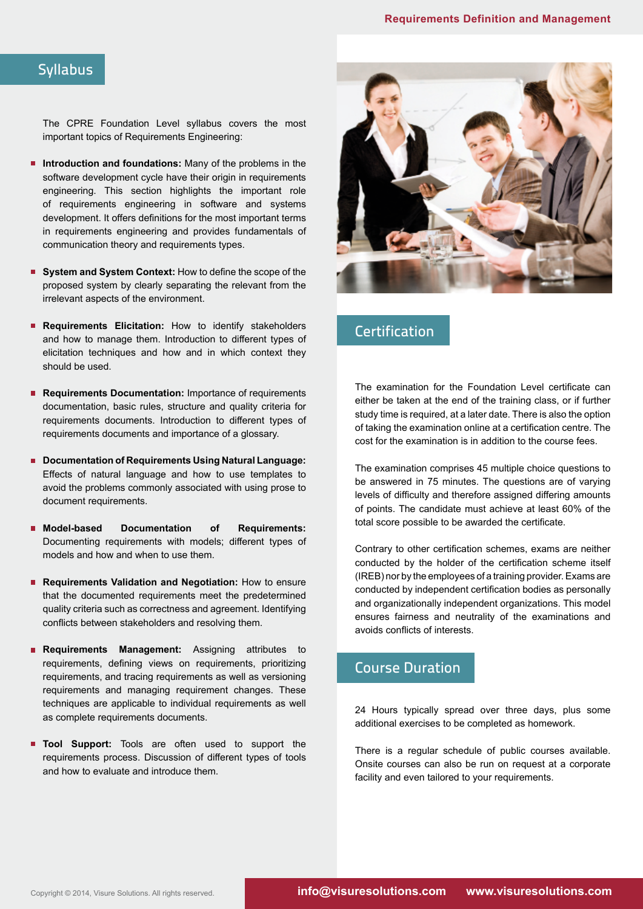#### **Syllabus**

The CPRE Foundation Level syllabus covers the most important topics of Requirements Engineering:

- **Introduction and foundations:** Many of the problems in the software development cycle have their origin in requirements engineering. This section highlights the important role of requirements engineering in software and systems development. It offers definitions for the most important terms in requirements engineering and provides fundamentals of communication theory and requirements types.
- **System and System Context:** How to define the scope of the proposed system by clearly separating the relevant from the irrelevant aspects of the environment.
- **Requirements Elicitation:** How to identify stakeholders and how to manage them. Introduction to different types of elicitation techniques and how and in which context they should be used.
- **Requirements Documentation:** Importance of requirements documentation, basic rules, structure and quality criteria for requirements documents. Introduction to different types of requirements documents and importance of a glossary.
- **Documentation of Requirements Using Natural Language:** Effects of natural language and how to use templates to avoid the problems commonly associated with using prose to document requirements.
- **Model-based Documentation of Requirements:**  Documenting requirements with models; different types of models and how and when to use them.
- **Requirements Validation and Negotiation:** How to ensure that the documented requirements meet the predetermined quality criteria such as correctness and agreement. Identifying conflicts between stakeholders and resolving them.
- **Requirements Management:** Assigning attributes to requirements, defining views on requirements, prioritizing requirements, and tracing requirements as well as versioning requirements and managing requirement changes. These techniques are applicable to individual requirements as well as complete requirements documents.
- **Tool Support:** Tools are often used to support the requirements process. Discussion of different types of tools and how to evaluate and introduce them.



# **Certification**

The examination for the Foundation Level certificate can either be taken at the end of the training class, or if further study time is required, at a later date. There is also the option of taking the examination online at a certification centre. The cost for the examination is in addition to the course fees.

The examination comprises 45 multiple choice questions to be answered in 75 minutes. The questions are of varying levels of difficulty and therefore assigned differing amounts of points. The candidate must achieve at least 60% of the total score possible to be awarded the certificate.

Contrary to other certification schemes, exams are neither conducted by the holder of the certification scheme itself (IREB) nor by the employees of a training provider. Exams are conducted by independent certification bodies as personally and organizationally independent organizations. This model ensures fairness and neutrality of the examinations and avoids conflicts of interests.

### Course Duration

24 Hours typically spread over three days, plus some additional exercises to be completed as homework.

There is a regular schedule of public courses available. Onsite courses can also be run on request at a corporate facility and even tailored to your requirements.